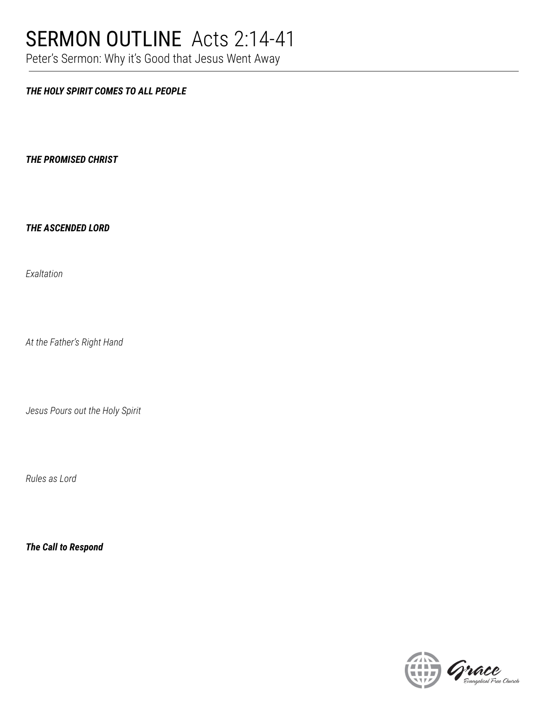## SERMON OUTLINE Acts 2:14-41

Peter's Sermon: Why it's Good that Jesus Went Away

#### *THE HOLY SPIRIT COMES TO ALL PEOPLE*

*THE PROMISED CHRIST*

*THE ASCENDED LORD*

*Exaltation*

*At the Father's Right Hand*

*Jesus Pours out the Holy Spirit*

*Rules as Lord*

*The Call to Respond*